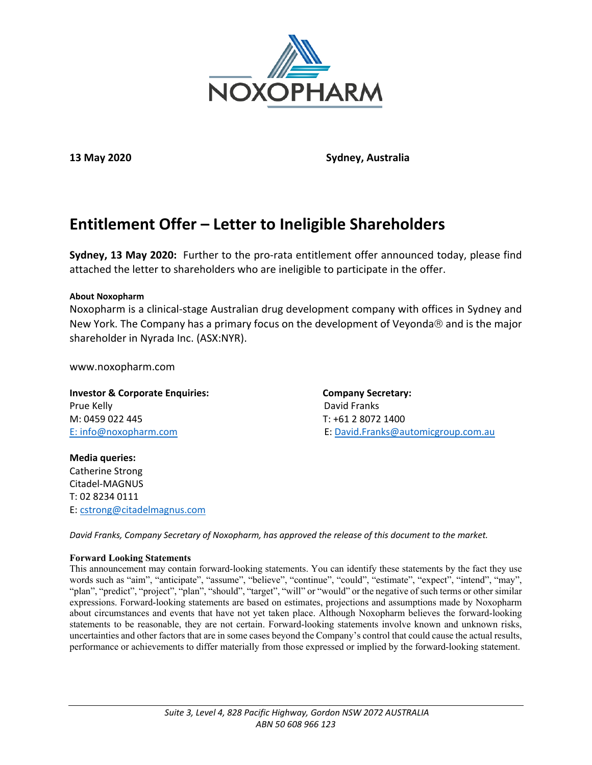

**13 May 2020 Sydney, Australia**

# **Entitlement Offer – Letter to Ineligible Shareholders**

**Sydney, 13 May 2020:** Further to the pro-rata entitlement offer announced today, please find attached the letter to shareholders who are ineligible to participate in the offer.

#### **About Noxopharm**

Noxopharm is a clinical-stage Australian drug development company with offices in Sydney and New York. The Company has a primary focus on the development of Veyonda $\otimes$  and is the major shareholder in Nyrada Inc. (ASX:NYR).

www.noxopharm.com

**Investor & Corporate Enquiries:** Company Secretary: Prue Kelly David Franks M: 0459 022 445 T: +61 2 8072 1400

E: [info@noxopharm.com](mailto:info@noxopharm.com) E: [David.Franks@automicgroup.com.au](mailto:David.Franks@automicgroup.com.au)

**Media queries:** Catherine Strong Citadel-MAGNUS T: 02 8234 0111 E: [cstrong@citadelmagnus.com](mailto:cstrong@citadelmagnus.com)

*David Franks, Company Secretary of Noxopharm, has approved the release of this document to the market.*

#### **Forward Looking Statements**

This announcement may contain forward-looking statements. You can identify these statements by the fact they use words such as "aim", "anticipate", "assume", "believe", "continue", "could", "estimate", "expect", "intend", "may", "plan", "predict", "project", "plan", "should", "target", "will" or "would" or the negative of such terms or other similar expressions. Forward-looking statements are based on estimates, projections and assumptions made by Noxopharm about circumstances and events that have not yet taken place. Although Noxopharm believes the forward-looking statements to be reasonable, they are not certain. Forward-looking statements involve known and unknown risks, uncertainties and other factors that are in some cases beyond the Company's control that could cause the actual results, performance or achievements to differ materially from those expressed or implied by the forward-looking statement.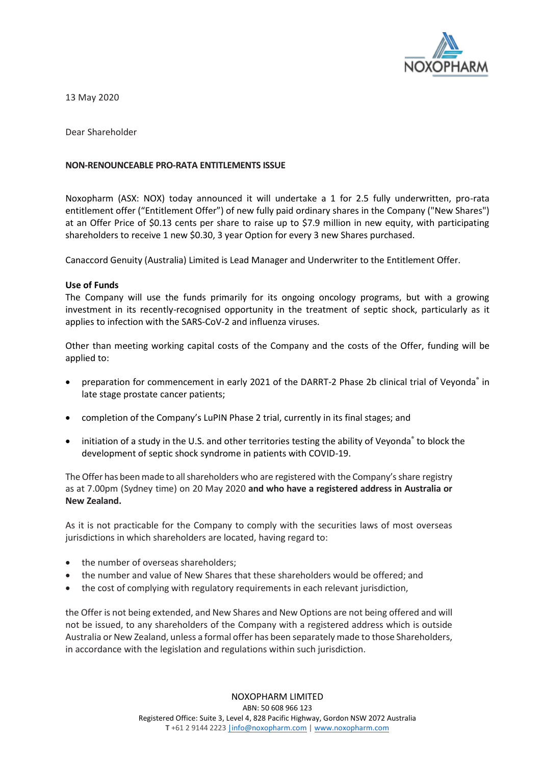

13 May 2020

Dear Shareholder

### **NON-RENOUNCEABLE PRO-RATA ENTITLEMENTS ISSUE**

Noxopharm (ASX: NOX) today announced it will undertake a 1 for 2.5 fully underwritten, pro-rata entitlement offer ("Entitlement Offer") of new fully paid ordinary shares in the Company ("New Shares") at an Offer Price of \$0.13 cents per share to raise up to \$7.9 million in new equity, with participating shareholders to receive 1 new \$0.30, 3 year Option for every 3 new Shares purchased.

Canaccord Genuity (Australia) Limited is Lead Manager and Underwriter to the Entitlement Offer.

#### **Use of Funds**

The Company will use the funds primarily for its ongoing oncology programs, but with a growing investment in its recently-recognised opportunity in the treatment of septic shock, particularly as it applies to infection with the SARS-CoV-2 and influenza viruses.

Other than meeting working capital costs of the Company and the costs of the Offer, funding will be applied to:

- preparation for commencement in early 2021 of the DARRT-2 Phase 2b clinical trial of Veyonda® in late stage prostate cancer patients;
- completion of the Company's LuPIN Phase 2 trial, currently in its final stages; and
- initiation of a study in the U.S. and other territories testing the ability of Veyonda® to block the development of septic shock syndrome in patients with COVID-19.

The Offer has been made to all shareholders who are registered with the Company's share registry as at 7.00pm (Sydney time) on 20 May 2020 **and who have a registered address in Australia or New Zealand.** 

As it is not practicable for the Company to comply with the securities laws of most overseas jurisdictions in which shareholders are located, having regard to:

- the number of overseas shareholders:
- the number and value of New Shares that these shareholders would be offered; and
- the cost of complying with regulatory requirements in each relevant jurisdiction,

the Offer is not being extended, and New Shares and New Options are not being offered and will not be issued, to any shareholders of the Company with a registered address which is outside Australia or New Zealand, unless a formal offer has been separately made to those Shareholders, in accordance with the legislation and regulations within such jurisdiction.